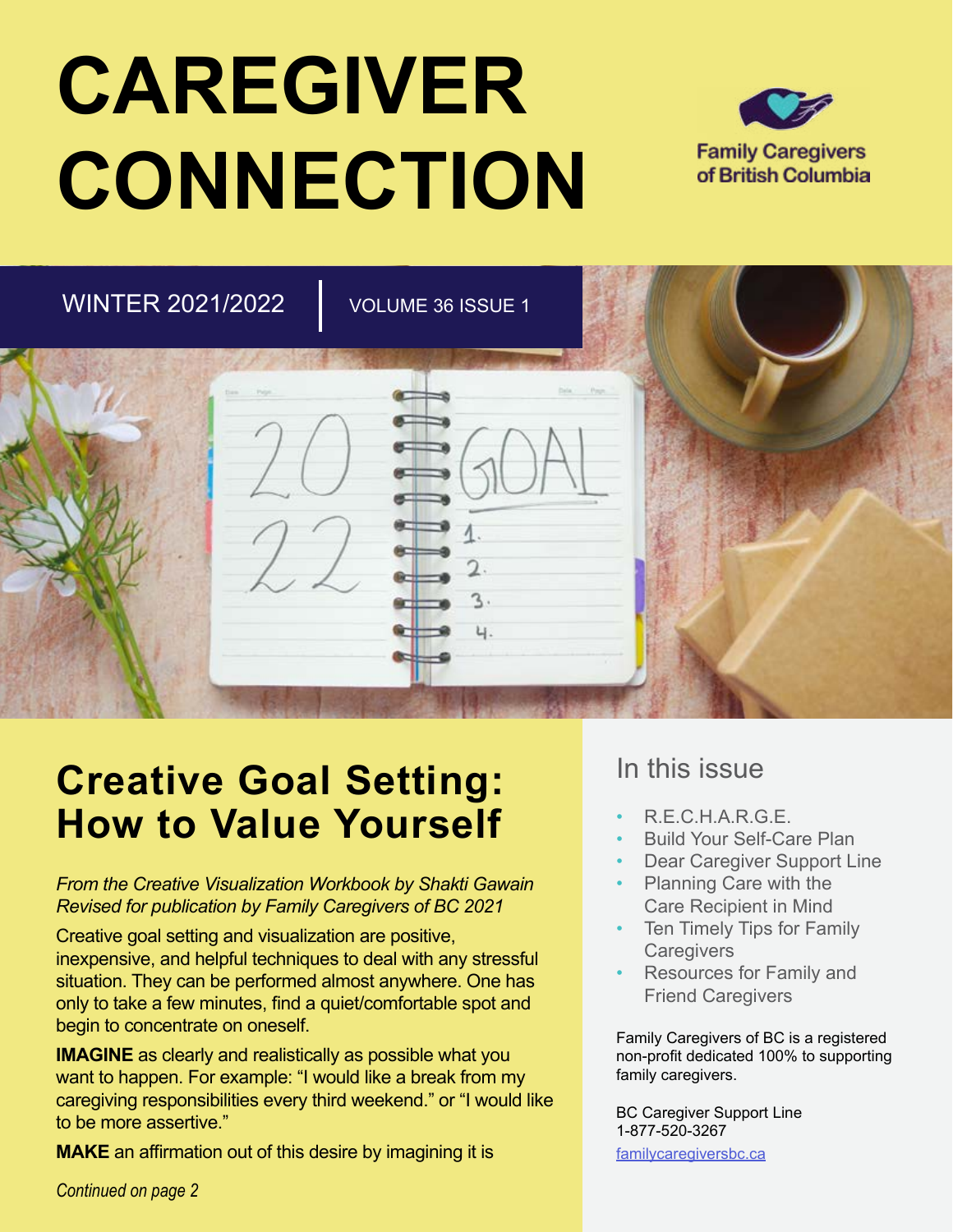# **CAREGIVER CONNECTION**



WINTER 2021/2022 VOLUME 36 ISSUE 1

Ч.



*From the Creative Visualization Workbook by Shakti Gawain Revised for publication by Family Caregivers of BC 2021*

Creative goal setting and visualization are positive, inexpensive, and helpful techniques to deal with any stressful situation. They can be performed almost anywhere. One has only to take a few minutes, find a quiet/comfortable spot and begin to concentrate on oneself.

**IMAGINE** as clearly and realistically as possible what you want to happen. For example: "I would like a break from my caregiving responsibilities every third weekend." or "I would like to be more assertive."

**MAKE** an affirmation out of this desire by imagining it is

### In this issue

- R.E.C.H.A.R.G.E.
- Build Your Self-Care Plan
- Dear Caregiver Support Line
- Planning Care with the Care Recipient in Mind
- **Ten Timely Tips for Family Caregivers**
- Resources for Family and Friend Caregivers

Family Caregivers of BC is a registered non-profit dedicated 100% to supporting family caregivers.

BC Caregiver Support Line 1-877-520-3267 [familycaregiversbc.ca](http://www.familycaregiversbc.ca   )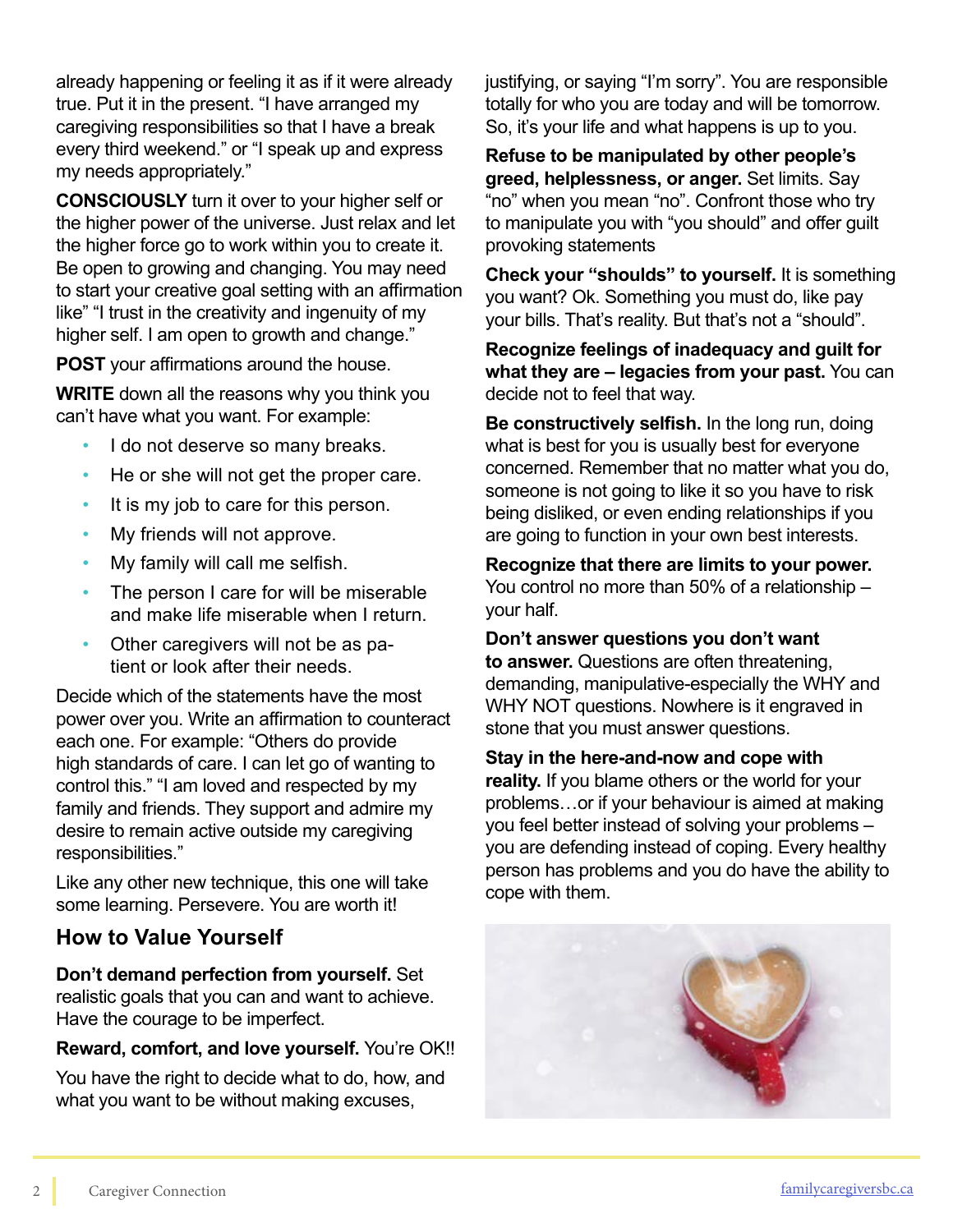already happening or feeling it as if it were already true. Put it in the present. "I have arranged my caregiving responsibilities so that I have a break every third weekend." or "I speak up and express my needs appropriately."

**CONSCIOUSLY** turn it over to your higher self or the higher power of the universe. Just relax and let the higher force go to work within you to create it. Be open to growing and changing. You may need to start your creative goal setting with an affirmation like" "I trust in the creativity and ingenuity of my higher self. I am open to growth and change."

**POST** your affirmations around the house.

**WRITE** down all the reasons why you think you can't have what you want. For example:

- I do not deserve so many breaks.
- He or she will not get the proper care.
- It is my job to care for this person.
- My friends will not approve.
- My family will call me selfish.
- The person I care for will be miserable and make life miserable when I return.
- Other caregivers will not be as patient or look after their needs.

Decide which of the statements have the most power over you. Write an affirmation to counteract each one. For example: "Others do provide high standards of care. I can let go of wanting to control this." "I am loved and respected by my family and friends. They support and admire my desire to remain active outside my caregiving responsibilities."

Like any other new technique, this one will take some learning. Persevere. You are worth it!

### **How to Value Yourself**

**Don't demand perfection from yourself.** Set realistic goals that you can and want to achieve. Have the courage to be imperfect.

### **Reward, comfort, and love yourself.** You're OK!!

You have the right to decide what to do, how, and what you want to be without making excuses,

justifying, or saying "I'm sorry". You are responsible totally for who you are today and will be tomorrow. So, it's your life and what happens is up to you.

**Refuse to be manipulated by other people's greed, helplessness, or anger.** Set limits. Say "no" when you mean "no". Confront those who try to manipulate you with "you should" and offer guilt provoking statements

**Check your "shoulds" to yourself.** It is something you want? Ok. Something you must do, like pay your bills. That's reality. But that's not a "should".

**Recognize feelings of inadequacy and guilt for what they are – legacies from your past.** You can decide not to feel that way.

**Be constructively selfish.** In the long run, doing what is best for you is usually best for everyone concerned. Remember that no matter what you do, someone is not going to like it so you have to risk being disliked, or even ending relationships if you are going to function in your own best interests.

**Recognize that there are limits to your power.**  You control no more than 50% of a relationship – your half.

#### **Don't answer questions you don't want**

**to answer.** Questions are often threatening, demanding, manipulative-especially the WHY and WHY NOT questions. Nowhere is it engraved in stone that you must answer questions.

#### **Stay in the here-and-now and cope with**

**reality.** If you blame others or the world for your problems…or if your behaviour is aimed at making you feel better instead of solving your problems – you are defending instead of coping. Every healthy person has problems and you do have the ability to cope with them.

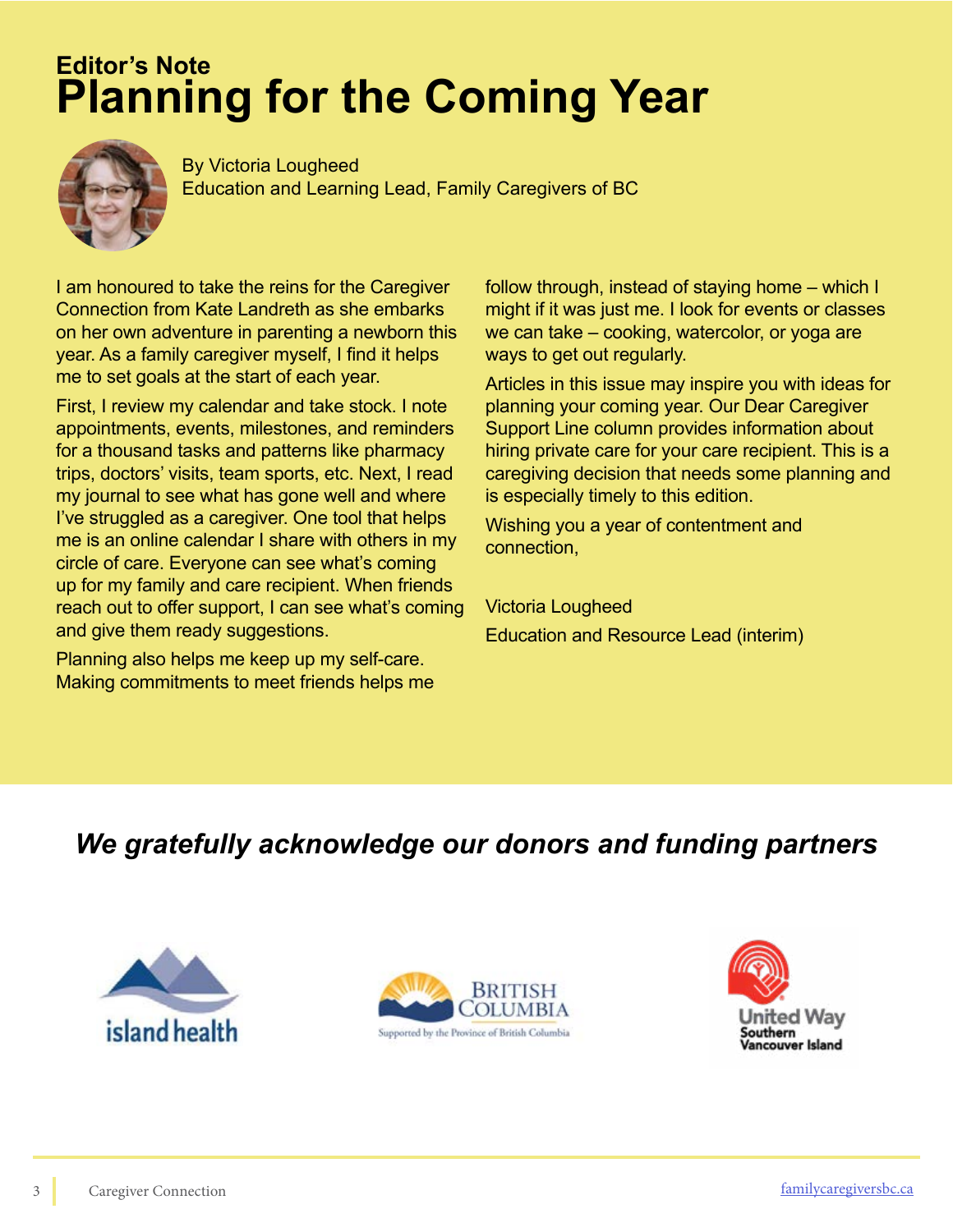## **Editor's Note Planning for the Coming Year**



By Victoria Lougheed Education and Learning Lead, Family Caregivers of BC

I am honoured to take the reins for the Caregiver Connection from Kate Landreth as she embarks on her own adventure in parenting a newborn this year. As a family caregiver myself, I find it helps me to set goals at the start of each year.

First, I review my calendar and take stock. I note appointments, events, milestones, and reminders for a thousand tasks and patterns like pharmacy trips, doctors' visits, team sports, etc. Next, I read my journal to see what has gone well and where I've struggled as a caregiver. One tool that helps me is an online calendar I share with others in my circle of care. Everyone can see what's coming up for my family and care recipient. When friends reach out to offer support, I can see what's coming and give them ready suggestions.

Planning also helps me keep up my self-care. Making commitments to meet friends helps me follow through, instead of staying home – which I might if it was just me. I look for events or classes we can take – cooking, watercolor, or yoga are ways to get out regularly.

Articles in this issue may inspire you with ideas for planning your coming year. Our Dear Caregiver Support Line column provides information about hiring private care for your care recipient. This is a caregiving decision that needs some planning and is especially timely to this edition.

Wishing you a year of contentment and connection,

Victoria Lougheed Education and Resource Lead (interim)

### *We gratefully acknowledge our donors and funding partners*





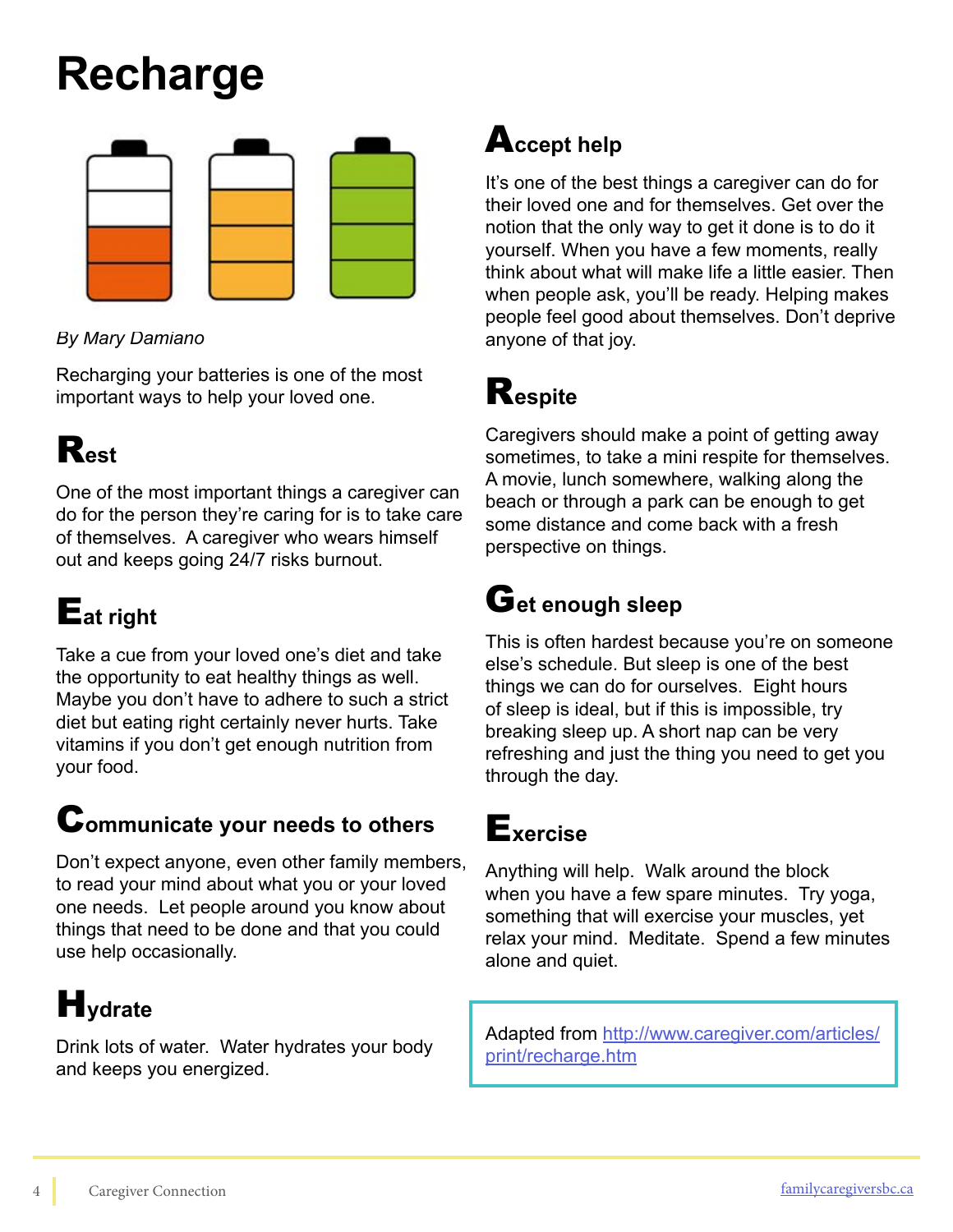## **Recharge**



### *By Mary Damiano*

Recharging your batteries is one of the most important ways to help your loved one.

## R**est**

One of the most important things a caregiver can do for the person they're caring for is to take care of themselves. A caregiver who wears himself out and keeps going 24/7 risks burnout.

## E**at right**

Take a cue from your loved one's diet and take the opportunity to eat healthy things as well. Maybe you don't have to adhere to such a strict diet but eating right certainly never hurts. Take vitamins if you don't get enough nutrition from your food.

## C**ommunicate your needs to others**

Don't expect anyone, even other family members, to read your mind about what you or your loved one needs. Let people around you know about things that need to be done and that you could use help occasionally.

## H**ydrate**

Drink lots of water. Water hydrates your body and keeps you energized.

## A**ccept help**

It's one of the best things a caregiver can do for their loved one and for themselves. Get over the notion that the only way to get it done is to do it yourself. When you have a few moments, really think about what will make life a little easier. Then when people ask, you'll be ready. Helping makes people feel good about themselves. Don't deprive anyone of that joy.

## R**espite**

Caregivers should make a point of getting away sometimes, to take a mini respite for themselves. A movie, lunch somewhere, walking along the beach or through a park can be enough to get some distance and come back with a fresh perspective on things.

## G**et enough sleep**

This is often hardest because you're on someone else's schedule. But sleep is one of the best things we can do for ourselves. Eight hours of sleep is ideal, but if this is impossible, try breaking sleep up. A short nap can be very refreshing and just the thing you need to get you through the day.

### E**xercise**

Anything will help. Walk around the block when you have a few spare minutes. Try yoga, something that will exercise your muscles, yet relax your mind. Meditate. Spend a few minutes alone and quiet.

Adapted from [http://www.caregiver.com/articles/](http://www.caregiver.com/articles/print/recharge.htm) [print/recharge.htm](http://www.caregiver.com/articles/print/recharge.htm)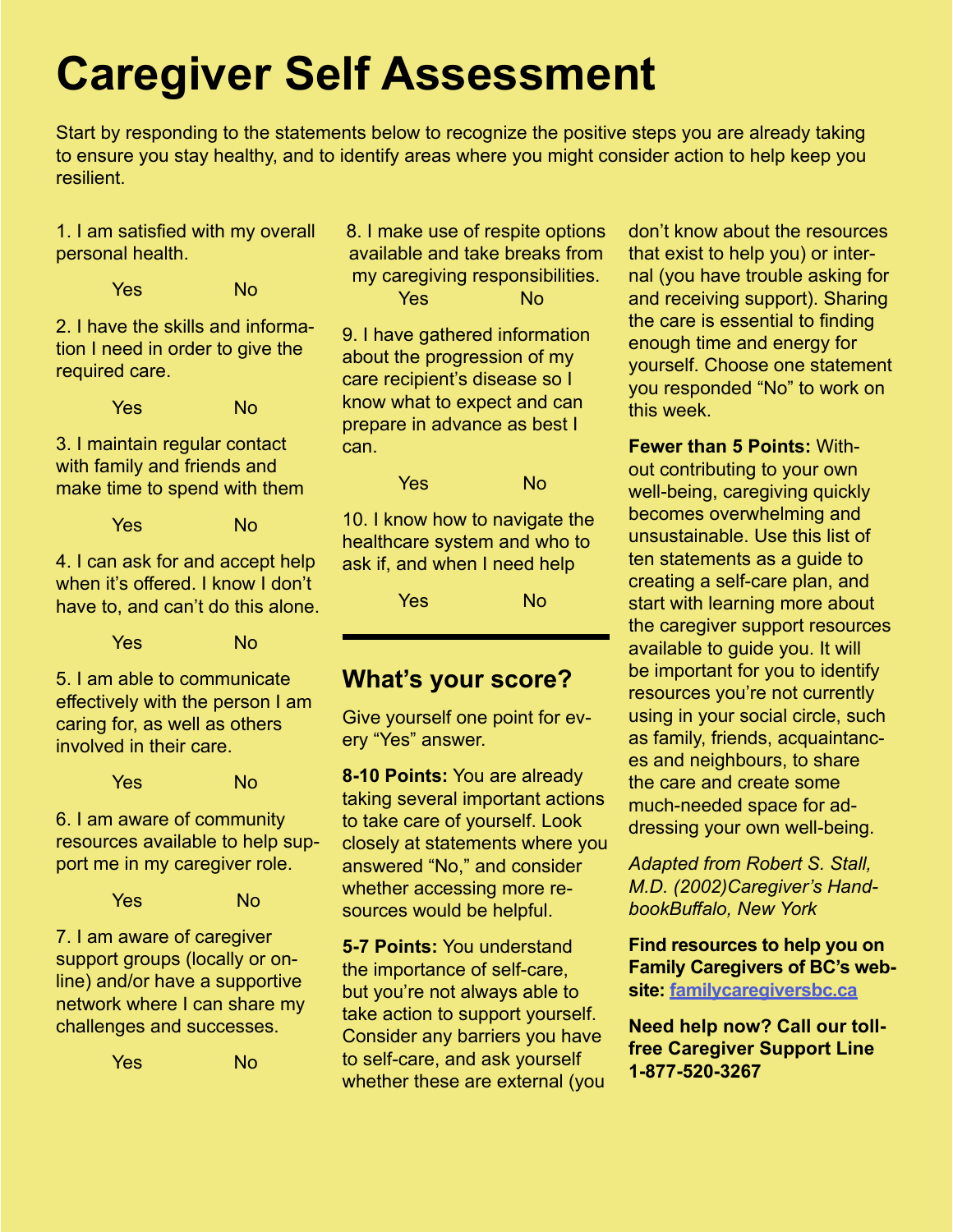## **Caregiver Self Assessment**

Start by responding to the statements below to recognize the positive steps you are already taking to ensure you stay healthy, and to identify areas where you might consider action to help keep you resilient.

1. I am satisfied with my overall personal health.

Yes No

2. I have the skills and information I need in order to give the required care.

Yes No

3. I maintain regular contact with family and friends and make time to spend with them

Yes No

4. I can ask for and accept help when it's offered. I know I don't have to, and can't do this alone.

Yes No

5. I am able to communicate effectively with the person I am caring for, as well as others involved in their care.

Yes No

6. I am aware of community resources available to help support me in my caregiver role.

Yes No

7. I am aware of caregiver support groups (locally or online) and/or have a supportive network where I can share my challenges and successes.

Yes No

8. I make use of respite options available and take breaks from my caregiving responsibilities. Yes No

9. I have gathered information about the progression of my care recipient's disease so I know what to expect and can prepare in advance as best I can.

| Yes | <b>No</b> |
|-----|-----------|
|-----|-----------|

10. I know how to navigate the healthcare system and who to ask if, and when I need help

Yes No

### **What's your score?**

Give yourself one point for every "Yes" answer.

**8-10 Points:** You are already taking several important actions to take care of yourself. Look closely at statements where you answered "No," and consider whether accessing more resources would be helpful.

**5-7 Points:** You understand the importance of self-care, but you're not always able to take action to support yourself. Consider any barriers you have to self-care, and ask yourself whether these are external (you don't know about the resources that exist to help you) or internal (you have trouble asking for and receiving support). Sharing the care is essential to finding enough time and energy for yourself. Choose one statement you responded "No" to work on this week.

**Fewer than 5 Points:** Without contributing to your own well-being, caregiving quickly becomes overwhelming and unsustainable. Use this list of ten statements as a guide to creating a self-care plan, and start with learning more about the caregiver support resources available to guide you. It will be important for you to identify resources you're not currently using in your social circle, such as family, friends, acquaintances and neighbours, to share the care and create some much-needed space for addressing your own well-being.

*Adapted from Robert S. Stall, M.D. (2002)Caregiver's HandbookBuffalo, New York*

**Find resources to help you on Family Caregivers of BC's website: [familycaregiversbc.ca](http://www.familycaregiversbc.ca)**

**Need help now? Call our tollfree Caregiver Support Line 1-877-520-3267**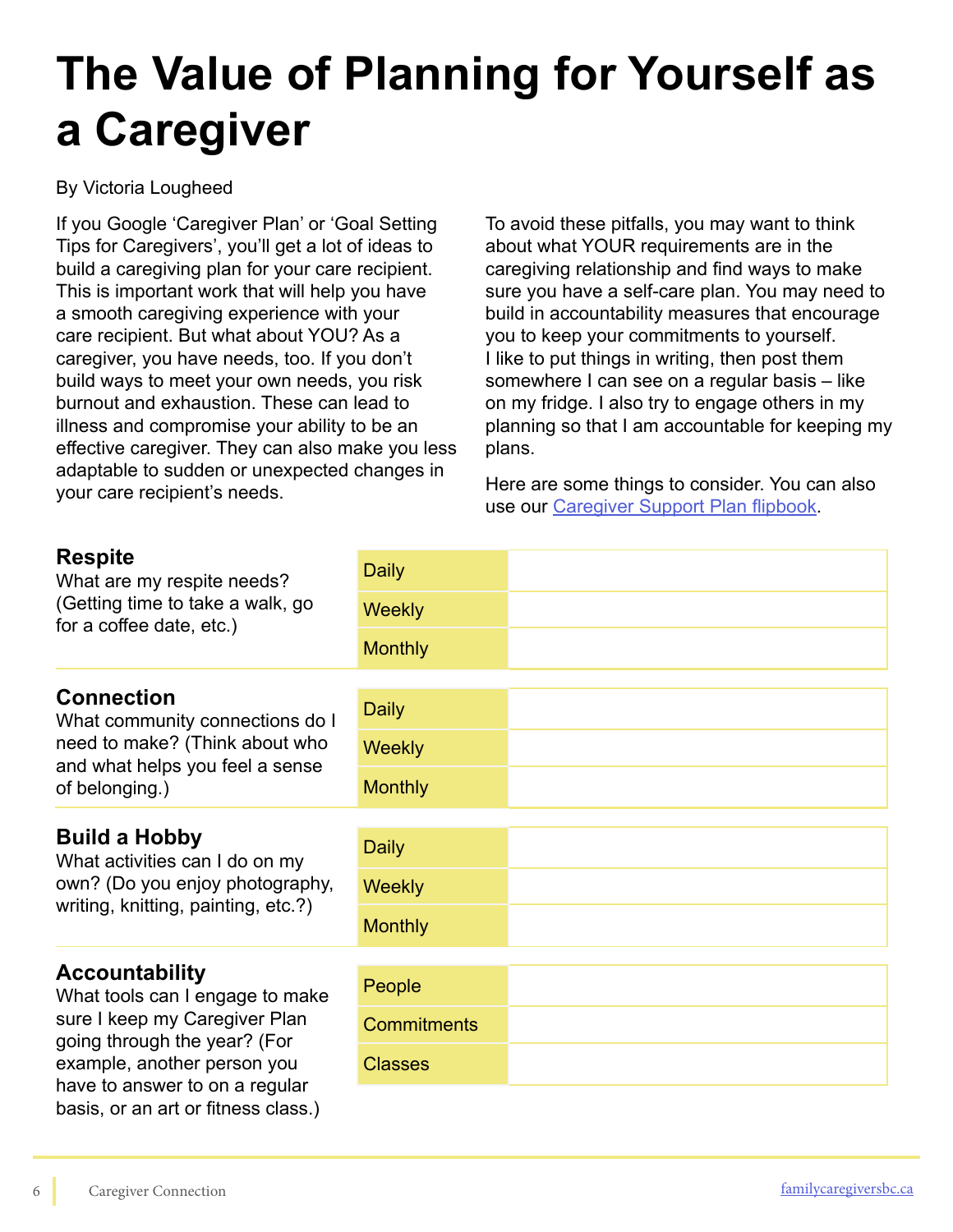## **The Value of Planning for Yourself as a Caregiver**

### By Victoria Lougheed

If you Google 'Caregiver Plan' or 'Goal Setting Tips for Caregivers', you'll get a lot of ideas to build a caregiving plan for your care recipient. This is important work that will help you have a smooth caregiving experience with your care recipient. But what about YOU? As a caregiver, you have needs, too. If you don't build ways to meet your own needs, you risk burnout and exhaustion. These can lead to illness and compromise your ability to be an effective caregiver. They can also make you less adaptable to sudden or unexpected changes in your care recipient's needs.

To avoid these pitfalls, you may want to think about what YOUR requirements are in the caregiving relationship and find ways to make sure you have a self-care plan. You may need to build in accountability measures that encourage you to keep your commitments to yourself. I like to put things in writing, then post them somewhere I can see on a regular basis – like on my fridge. I also try to engage others in my planning so that I am accountable for keeping my plans.

Here are some things to consider. You can also use our [Caregiver Support Plan flipbook](https://www.familycaregiversbc.ca/archives/3d-flip-book/caregiver-support-plan).

| <b>Respite</b><br>What are my respite needs?<br>(Getting time to take a walk, go<br>for a coffee date, etc.)                                             | <b>Daily</b>       |  |  |
|----------------------------------------------------------------------------------------------------------------------------------------------------------|--------------------|--|--|
|                                                                                                                                                          | <b>Weekly</b>      |  |  |
|                                                                                                                                                          | <b>Monthly</b>     |  |  |
| <b>Connection</b>                                                                                                                                        |                    |  |  |
| What community connections do I<br>need to make? (Think about who<br>and what helps you feel a sense<br>of belonging.)                                   | <b>Daily</b>       |  |  |
|                                                                                                                                                          | <b>Weekly</b>      |  |  |
|                                                                                                                                                          | <b>Monthly</b>     |  |  |
|                                                                                                                                                          |                    |  |  |
| <b>Build a Hobby</b><br>What activities can I do on my<br>own? (Do you enjoy photography,<br>writing, knitting, painting, etc.?)                         | <b>Daily</b>       |  |  |
|                                                                                                                                                          | <b>Weekly</b>      |  |  |
|                                                                                                                                                          | <b>Monthly</b>     |  |  |
|                                                                                                                                                          |                    |  |  |
| <b>Accountability</b><br>What tools can I engage to make<br>sure I keep my Caregiver Plan<br>going through the year? (For<br>example, another person you | People             |  |  |
|                                                                                                                                                          | <b>Commitments</b> |  |  |
|                                                                                                                                                          | <b>Classes</b>     |  |  |
| have to answer to on a regular<br>basis, or an art or fitness class.)                                                                                    |                    |  |  |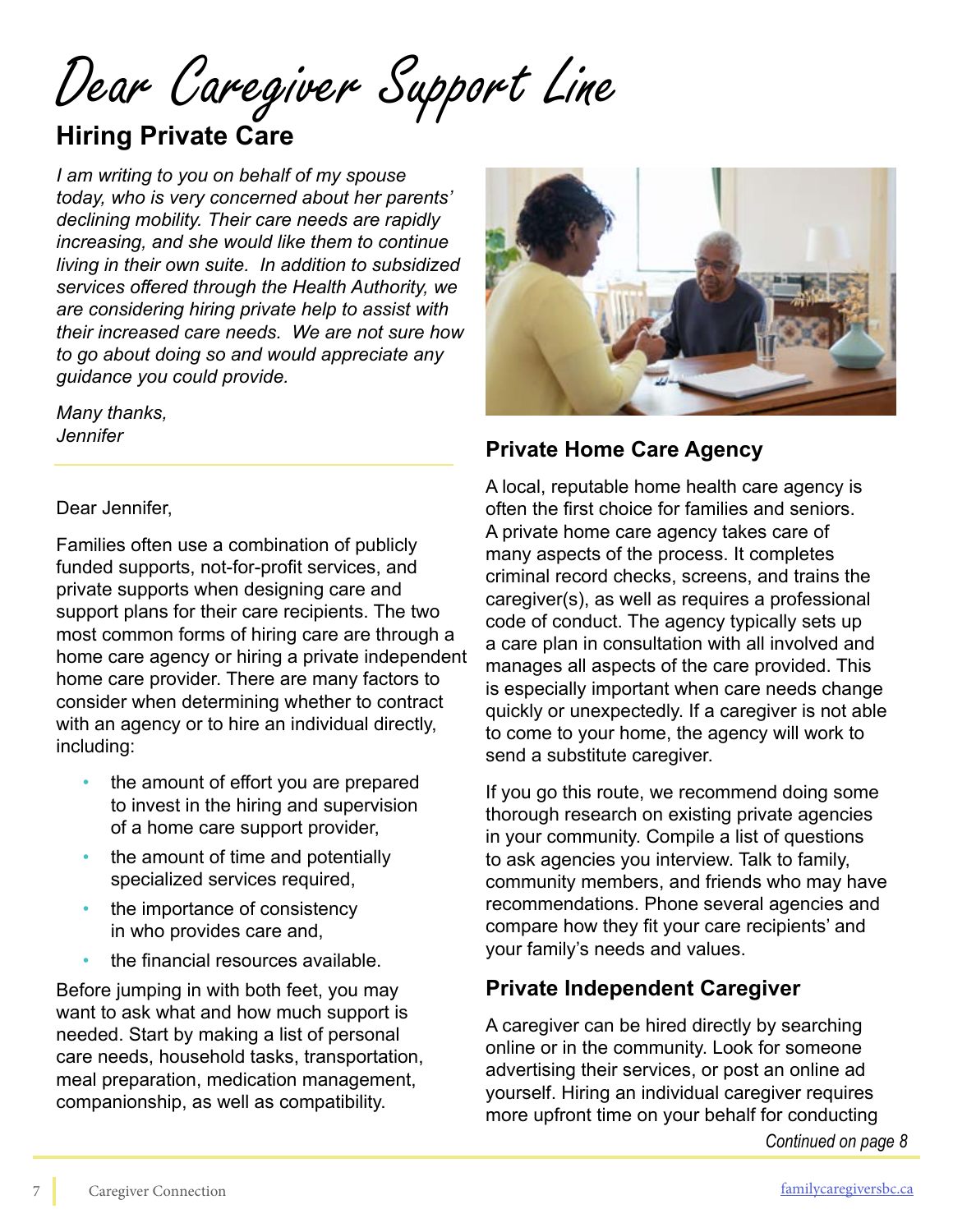Dear Caregiver Support Line

### **Hiring Private Care**

*I am writing to you on behalf of my spouse today, who is very concerned about her parents' declining mobility. Their care needs are rapidly increasing, and she would like them to continue living in their own suite. In addition to subsidized services offered through the Health Authority, we are considering hiring private help to assist with their increased care needs. We are not sure how to go about doing so and would appreciate any guidance you could provide.* 

### *Many thanks, Jennifer*



Families often use a combination of publicly funded supports, not-for-profit services, and private supports when designing care and support plans for their care recipients. The two most common forms of hiring care are through a home care agency or hiring a private independent home care provider. There are many factors to consider when determining whether to contract with an agency or to hire an individual directly, including:

- the amount of effort you are prepared to invest in the hiring and supervision of a home care support provider,
- the amount of time and potentially specialized services required,
- the importance of consistency in who provides care and,
- the financial resources available.

Before jumping in with both feet, you may want to ask what and how much support is needed. Start by making a list of personal care needs, household tasks, transportation, meal preparation, medication management, companionship, as well as compatibility.



### **Private Home Care Agency**

A local, reputable home health care agency is often the first choice for families and seniors. A private home care agency takes care of many aspects of the process. It completes criminal record checks, screens, and trains the caregiver(s), as well as requires a professional code of conduct. The agency typically sets up a care plan in consultation with all involved and manages all aspects of the care provided. This is especially important when care needs change quickly or unexpectedly. If a caregiver is not able to come to your home, the agency will work to send a substitute caregiver.

If you go this route, we recommend doing some thorough research on existing private agencies in your community. Compile a list of questions to ask agencies you interview. Talk to family, community members, and friends who may have recommendations. Phone several agencies and compare how they fit your care recipients' and your family's needs and values.

### **Private Independent Caregiver**

A caregiver can be hired directly by searching online or in the community. Look for someone advertising their services, or post an online ad yourself. Hiring an individual caregiver requires more upfront time on your behalf for conducting

*Continued on page 8*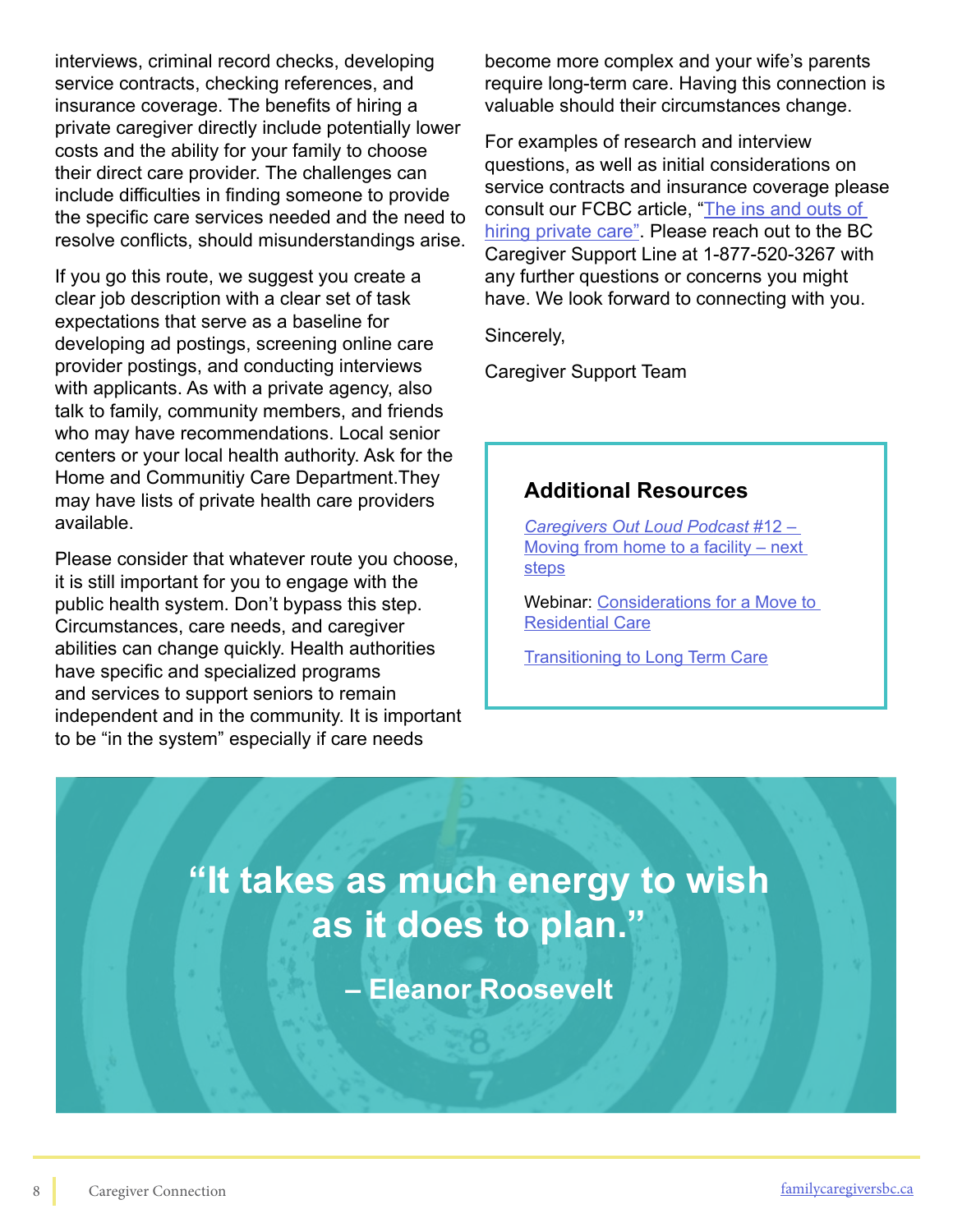interviews, criminal record checks, developing service contracts, checking references, and insurance coverage. The benefits of hiring a private caregiver directly include potentially lower costs and the ability for your family to choose their direct care provider. The challenges can include difficulties in finding someone to provide the specific care services needed and the need to resolve conflicts, should misunderstandings arise.

If you go this route, we suggest you create a clear job description with a clear set of task expectations that serve as a baseline for developing ad postings, screening online care provider postings, and conducting interviews with applicants. As with a private agency, also talk to family, community members, and friends who may have recommendations. Local senior centers or your local health authority. Ask for the Home and Communitiy Care Department.They may have lists of private health care providers available.

Please consider that whatever route you choose, it is still important for you to engage with the public health system. Don't bypass this step. Circumstances, care needs, and caregiver abilities can change quickly. Health authorities have specific and specialized programs and services to support seniors to remain independent and in the community. It is important to be "in the system" especially if care needs

become more complex and your wife's parents require long-term care. Having this connection is valuable should their circumstances change.

For examples of research and interview questions, as well as initial considerations on service contracts and insurance coverage please consult our FCBC article, ["The ins and outs of](https://www.familycaregiversbc.ca/home-based-care/the-ins-and-outs-of-hiring-private-care/)  [hiring private care](https://www.familycaregiversbc.ca/home-based-care/the-ins-and-outs-of-hiring-private-care/)". Please reach out to the BC Caregiver Support Line at 1-877-520-3267 with any further questions or concerns you might have. We look forward to connecting with you.

Sincerely,

Caregiver Support Team

### **Additional Resources**

*[Caregivers Out Loud Podcast](https://www.familycaregiversbc.ca/podcast/episode-12-moving-from-home-to-a-care-facility-next-steps)* #12 – Moving from home to a facility – next [steps](https://www.familycaregiversbc.ca/podcast/episode-12-moving-from-home-to-a-care-facility-next-steps)

Webinar: [Considerations for a Move to](https://www.familycaregiversbc.ca/archives/video/considerations-for-a-move-to-residential-care)  [Residential Care](https://www.familycaregiversbc.ca/archives/video/considerations-for-a-move-to-residential-care)

[Transitioning to Long Term Care](https://www.familycaregiversbc.ca/caregiver-learning-center/read-resources )

## **"It takes as much energy to wish as it does to plan."**

**– Eleanor Roosevelt**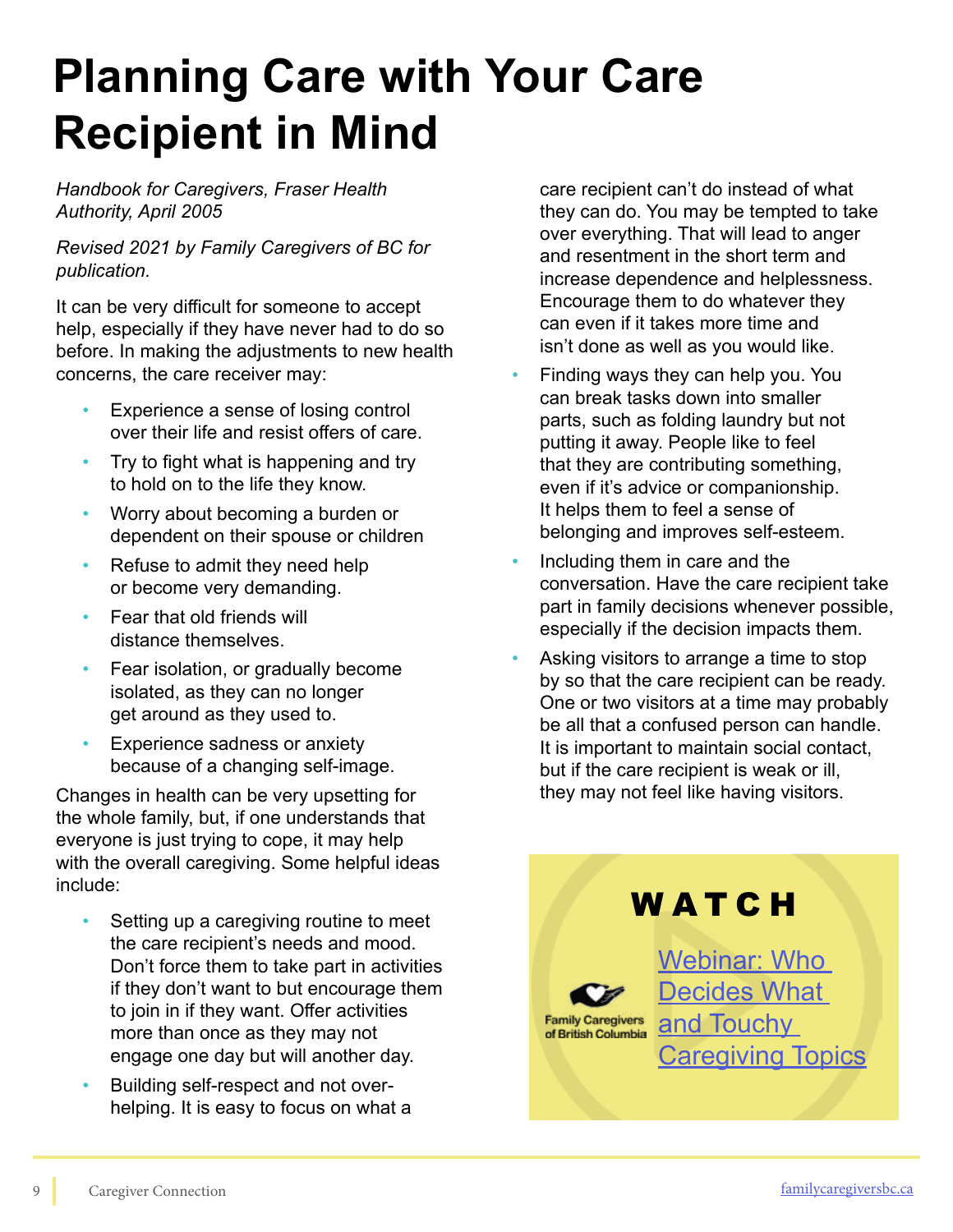## **Planning Care with Your Care Recipient in Mind**

*Handbook for Caregivers, Fraser Health Authority, April 2005*

*Revised 2021 by Family Caregivers of BC for publication.* 

It can be very difficult for someone to accept help, especially if they have never had to do so before. In making the adjustments to new health concerns, the care receiver may:

- Experience a sense of losing control over their life and resist offers of care.
- Try to fight what is happening and try to hold on to the life they know.
- Worry about becoming a burden or dependent on their spouse or children
- Refuse to admit they need help or become very demanding.
- Fear that old friends will distance themselves.
- Fear isolation, or gradually become isolated, as they can no longer get around as they used to.
- Experience sadness or anxiety because of a changing self-image.

Changes in health can be very upsetting for the whole family, but, if one understands that everyone is just trying to cope, it may help with the overall caregiving. Some helpful ideas include:

- Setting up a caregiving routine to meet the care recipient's needs and mood. Don't force them to take part in activities if they don't want to but encourage them to join in if they want. Offer activities more than once as they may not engage one day but will another day.
- Building self-respect and not overhelping. It is easy to focus on what a

care recipient can't do instead of what they can do. You may be tempted to take over everything. That will lead to anger and resentment in the short term and increase dependence and helplessness. Encourage them to do whatever they can even if it takes more time and isn't done as well as you would like.

- Finding ways they can help you. You can break tasks down into smaller parts, such as folding laundry but not putting it away. People like to feel that they are contributing something, even if it's advice or companionship. It helps them to feel a sense of belonging and improves self-esteem.
- Including them in care and the conversation. Have the care recipient take part in family decisions whenever possible, especially if the decision impacts them.
- Asking visitors to arrange a time to stop by so that the care recipient can be ready. One or two visitors at a time may probably be all that a confused person can handle. It is important to maintain social contact, but if the care recipient is weak or ill, they may not feel like having visitors.

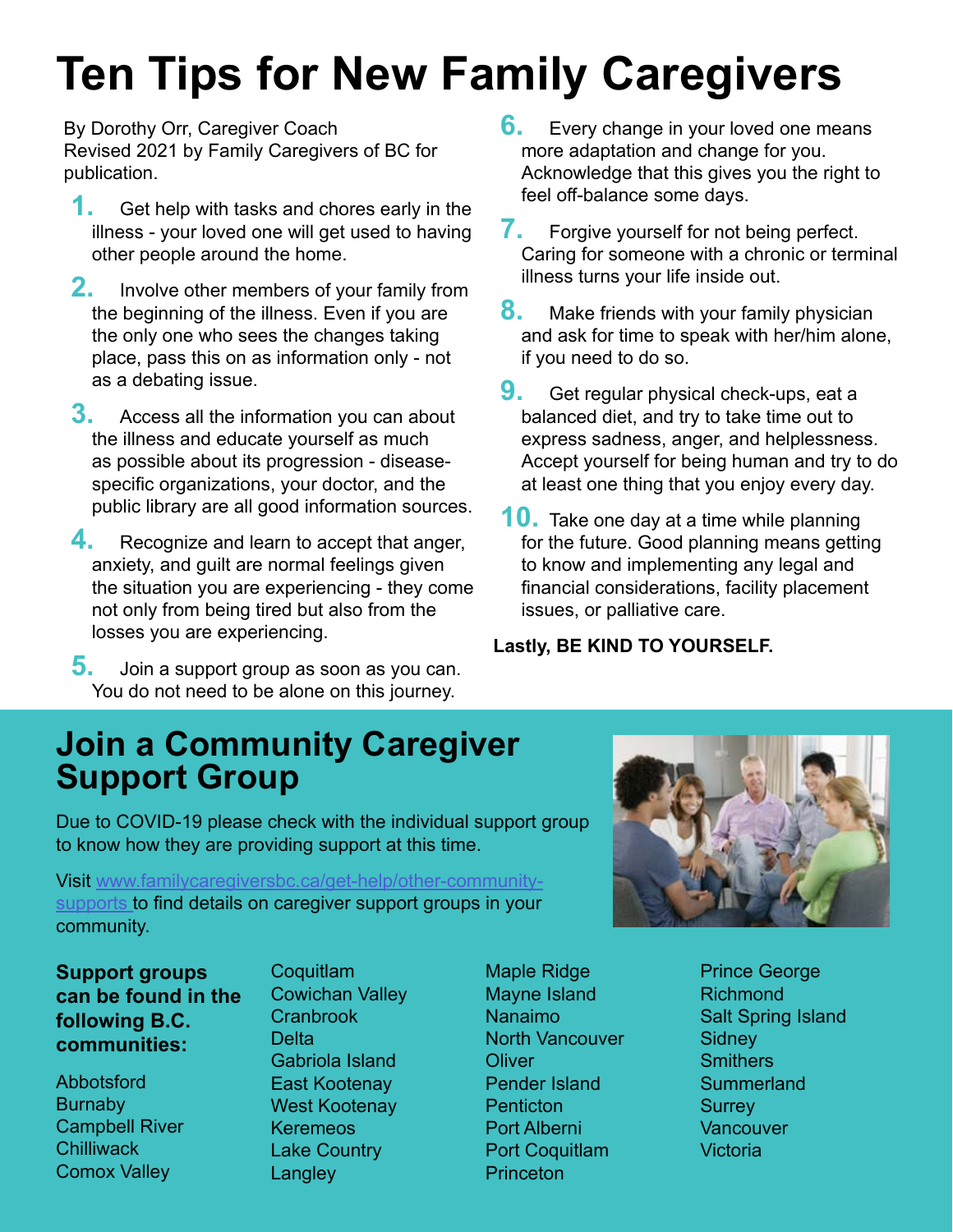## **Ten Tips for New Family Caregivers**

By Dorothy Orr, Caregiver Coach Revised 2021 by Family Caregivers of BC for publication.

- **1.** Get help with tasks and chores early in the illness - your loved one will get used to having other people around the home.
- **2.** Involve other members of your family from the beginning of the illness. Even if you are the only one who sees the changes taking place, pass this on as information only - not as a debating issue.
- **3.** Access all the information you can about the illness and educate yourself as much as possible about its progression - diseasespecific organizations, your doctor, and the public library are all good information sources.
- **4.** Recognize and learn to accept that anger, anxiety, and guilt are normal feelings given the situation you are experiencing - they come not only from being tired but also from the losses you are experiencing.
- **5.** Join a support group as soon as you can. You do not need to be alone on this journey.
- **6.** Every change in your loved one means more adaptation and change for you. Acknowledge that this gives you the right to feel off-balance some days.
- **7.** Forgive yourself for not being perfect. Caring for someone with a chronic or terminal illness turns your life inside out.
- **8.** Make friends with your family physician and ask for time to speak with her/him alone, if you need to do so.
- **9.** Get regular physical check-ups, eat a balanced diet, and try to take time out to express sadness, anger, and helplessness. Accept yourself for being human and try to do at least one thing that you enjoy every day.
- **10.** Take one day at a time while planning for the future. Good planning means getting to know and implementing any legal and financial considerations, facility placement issues, or palliative care.

### **Lastly, BE KIND TO YOURSELF.**

### **Join a Community Caregiver Support Group**

Due to COVID-19 please check with the individual support group to know how they are providing support at this time.

Visit www.familycaregiversbc.ca/get-help/other-communitysupports to find details on caregiver support groups in your community.

### **Support groups can be found in the following B.C. communities:**

10 Caregivers Connecticut Connecticut Connecticut Connecticut Connecticut Connecticut Connecticut Connecticut<br>20 Caregivers Connecticut Connecticut Connecticut Connecticut Connecticut Connecticut Connecticut Connecticut Abbotsford **Burnaby** Campbell River **Chilliwack** Comox Valley

**Coquitlam** Cowichan Valley Cranbrook **Delta** Gabriola Island East Kootenay West Kootenay **Keremeos** Lake Country **Langley** 

- Maple Ridge Mayne Island Nanaimo North Vancouver **Oliver** Pender Island **Penticton** Port Alberni Port Coquitlam **Princeton**
- - Prince George Richmond Salt Spring Island **Sidney Smithers Summerland Surrey Vancouver** Victoria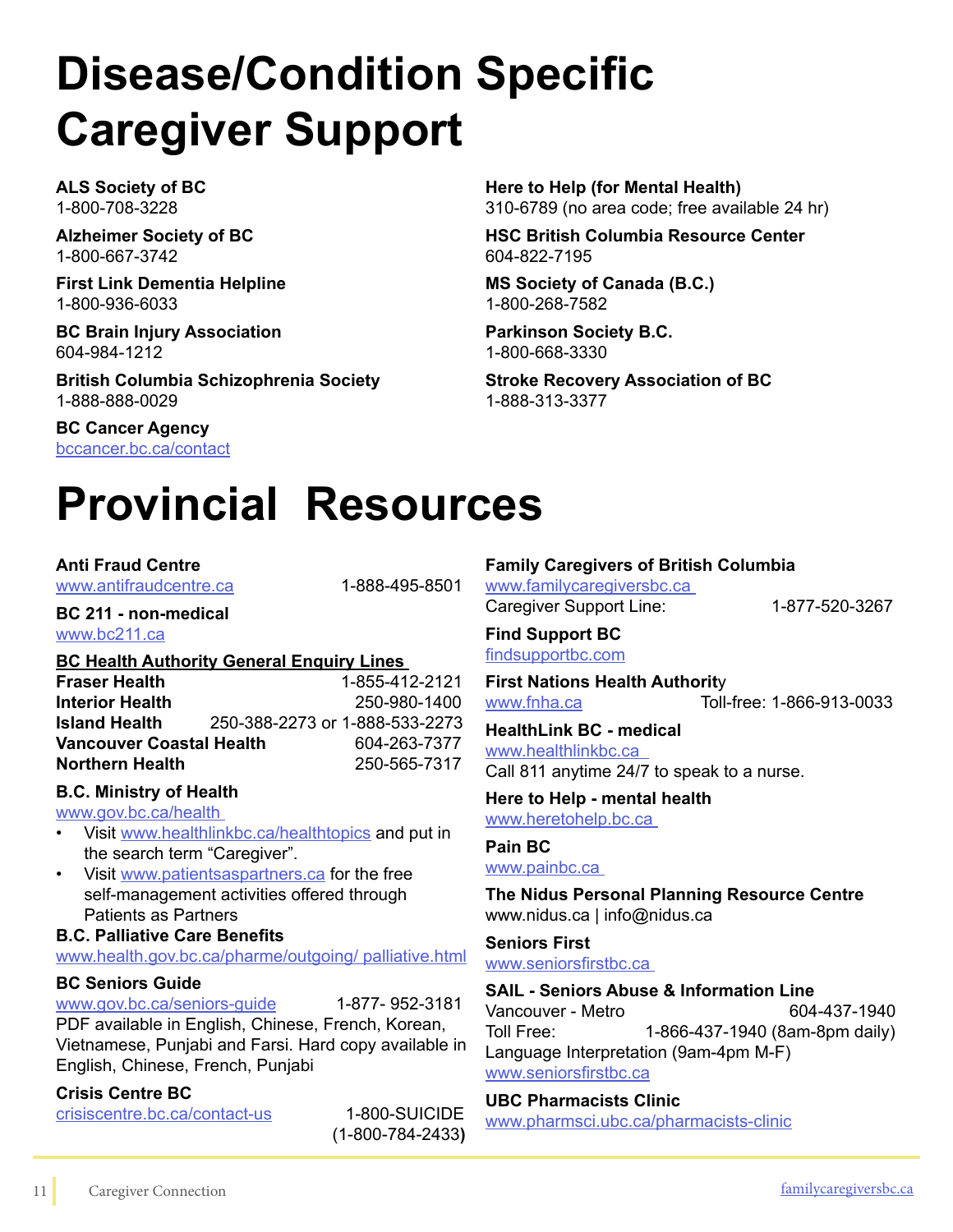## **Disease/Condition Specific Caregiver Support**

**ALS Society of BC**  1-800-708-3228

**Alzheimer Society of BC**  1-800-667-3742

**First Link Dementia Helpline**  1-800-936-6033

**BC Brain Injury Association** 604-984-1212

**British Columbia Schizophrenia Society** 1-888-888-0029

**BC Cancer Agency** [bccancer.bc.ca/contact](http://bccancer.bc.ca/contact)

### **Here to Help (for Mental Health)**

310-6789 (no area code; free available 24 hr)

**HSC British Columbia Resource Center** 604-822-7195

**MS Society of Canada (B.C.)**  1-800-268-7582

**Parkinson Society B.C.** 1-800-668-3330

**Stroke Recovery Association of BC** 1-888-313-3377

## **Provincial Resources**

#### **Anti Fraud Centre**

[www.antifraudcentre.ca](http://www.antifraudcentre.ca) 1-888-495-8501

#### **BC 211 - non-medical** [www.bc211.ca](http://www.bc211.ca)

### **BC Health Authority General Enquiry Lines**

**Fraser Health 1-855-412-2121**<br>**Interior Health 1-850-980-1400 Interior Health** 250-980-1400 **Island Health** 250-388-2273 or 1-888-533-2273 **Vancouver Coastal Health** 604-263-7377 **Northern Health** 250-565-7317

### **B.C. Ministry of Health**

[www.gov.bc.ca/health](http://www.gov.bc.ca/health ) 

- Visit [www.healthlinkbc.ca/healthtopics](http://www.healthlinkbc.ca/healthtopics) and put in the search term "Caregiver".
- Visit [www.patientsaspartners.ca](http://www.patientsaspartners.ca) for the free self-management activities offered through Patients as Partners

### **B.C. Palliative Care Benefits**

[www.health.gov.bc.ca/pharme/outgoing/](http://www.health.gov.bc.ca/pharme/outgoing/ palliative.html ) palliative.html

### **BC Seniors Guide**

[www.gov.bc.ca/seniors-guide](http://www.gov.bc.ca/seniors-guide) 1-877- 952-3181 PDF available in English, Chinese, French, Korean, Vietnamese, Punjabi and Farsi. Hard copy available in English, Chinese, French, Punjabi

### **Crisis Centre BC**

[crisiscentre.bc.ca/contact-us](http://crisiscentre.bc.ca/contact-us  ) 1-800-SUICIDE

(1-800-784-2433**)**

#### **Family Caregivers of British Columbia**

[www.familycaregiversbc.ca](http://www.familycaregiversbc.ca )  Caregiver Support Line: 1-877-520-3267

#### **Find Support BC**  [findsupportbc.com](http://findsupportbc.com)

### **First Nations Health Authorit**y

[www.fnha.ca](http://www.fnha.ca) Toll-free: 1-866-913-0033

### **HealthLink BC - medical**

[www.healthlinkbc.ca](http://www.healthlinkbc.ca  )  Call 811 anytime 24/7 to speak to a nurse.

**Here to Help - mental health** [www.heretohelp.bc.ca](http://www.heretohelp.bc.ca )

### **Pain BC**

www.painbc.ca

**The Nidus Personal Planning Resource Centre**  www.nidus.ca | info@nidus.ca

**Seniors First**  [www.seniorsfirstbc.ca](http://www.seniorsfirstbc.ca ) 

### **SAIL - Seniors Abuse & Information Line**

Vancouver - Metro 604-437-1940 Toll Free: 1-866-437-1940 (8am-8pm daily) Language Interpretation (9am-4pm M-F) [www.seniorsfirstbc.ca](mailto:www.seniorsfirstbc.ca?subject=)

#### **UBC Pharmacists Clinic**

[www.pharmsci.ubc.ca/pharmacists-clinic](http://www.pharmsci.ubc.ca/pharmacists-clinic)